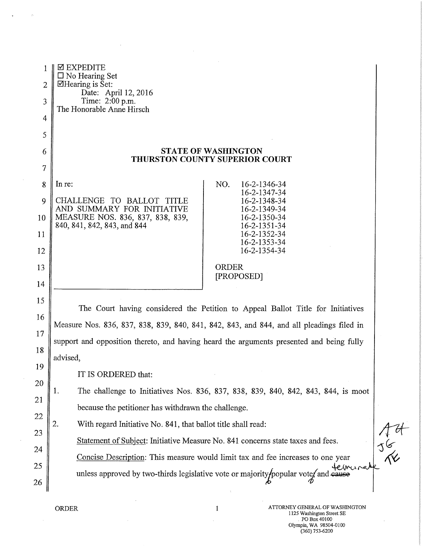| 1              | ⊠ EXPEDITE<br>$\Box$ No Hearing Set                                                             |  |
|----------------|-------------------------------------------------------------------------------------------------|--|
| $\overline{2}$ | $\Box$ Hearing is Set:<br>Date: April 12, 2016                                                  |  |
| 3              | Time: 2:00 p.m.<br>The Honorable Anne Hirsch                                                    |  |
| $\overline{4}$ |                                                                                                 |  |
| 5              |                                                                                                 |  |
| 6              | <b>STATE OF WASHINGTON</b><br><b>THURSTON COUNTY SUPERIOR COURT</b>                             |  |
| 7              |                                                                                                 |  |
| 8              | In re:<br>NO.<br>16-2-1346-34<br>16-2-1347-34                                                   |  |
| 9              | CHALLENGE TO BALLOT<br>16-2-1348-34<br>TITLE<br>AND SUMMARY FOR INITIATIVE<br>16-2-1349-34      |  |
| 10             | MEASURE NOS. 836, 837, 838, 839,<br>16-2-1350-34<br>840, 841, 842, 843, and 844<br>16-2-1351-34 |  |
| 11             | 16-2-1352-34<br>16-2-1353-34                                                                    |  |
| 12             | 16-2-1354-34                                                                                    |  |
| 13             | <b>ORDER</b><br>[PROPOSED]                                                                      |  |
| 14             |                                                                                                 |  |
| 15             | The Court having considered the Petition to Appeal Ballot Title for Initiatives                 |  |
| 16             | Measure Nos. 836, 837, 838, 839, 840, 841, 842, 843, and 844, and all pleadings filed in        |  |
| 17             | support and opposition thereto, and having heard the arguments presented and being fully        |  |
| 18             | advised,                                                                                        |  |
| 19             | IT IS ORDERED that:                                                                             |  |
| 20             | The challenge to Initiatives Nos. 836, 837, 838, 839, 840, 842, 843, 844, is moot<br>1.         |  |
| 21             | because the petitioner has withdrawn the challenge.                                             |  |
| 22             | 2.<br>With regard Initiative No. 841, that ballot title shall read:                             |  |
| 23             | Statement of Subject: Initiative Measure No. 841 concerns state taxes and fees.                 |  |
| 24             | Concise Description: This measure would limit tax and fee increases to one year                 |  |
| 25             | terminal<br>unless approved by two-thirds legislative vote or majority/popular vote/ and cause  |  |
| 26             |                                                                                                 |  |

 $\bar{z}$ 

 $\hat{\rho}$ 

 $\sim$ 

 $\bar{z}$ 

 $\sim$ 

 $\overline{\mathbf{r}}$ 

ORDER 1 ATTORNEY GENERAL OF WASHINGTON 1125 Washington Street SE PO Box 40100 Olympia, WA 98504-0100 (360)753-6200

 $74$ <br> $36$ <br> $36$